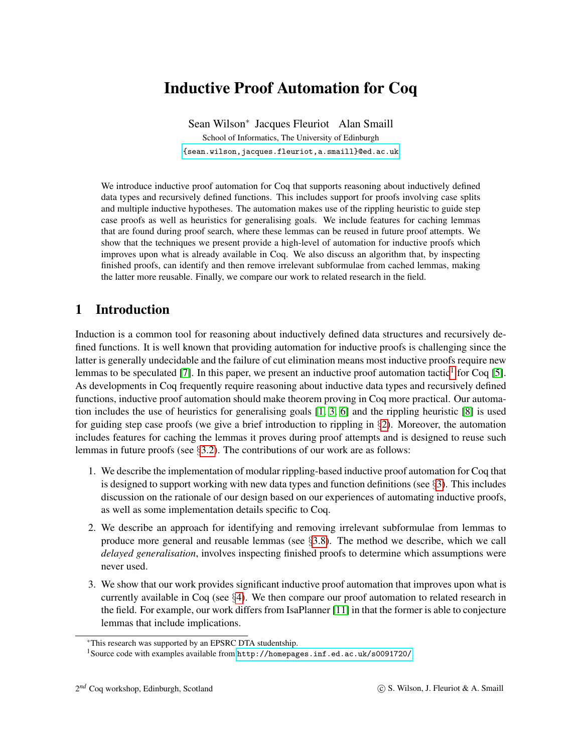# Inductive Proof Automation for Coq

Sean Wilson<sup>∗</sup> Jacques Fleuriot Alan Smaill School of Informatics, The University of Edinburgh [{sean.wilson,jacques.fleuriot,a.smaill}@ed.ac.uk]({sean.wilson, jacques.fleuriot, a.smaill}@ed.ac.uk)

We introduce inductive proof automation for Coq that supports reasoning about inductively defined data types and recursively defined functions. This includes support for proofs involving case splits and multiple inductive hypotheses. The automation makes use of the rippling heuristic to guide step case proofs as well as heuristics for generalising goals. We include features for caching lemmas that are found during proof search, where these lemmas can be reused in future proof attempts. We show that the techniques we present provide a high-level of automation for inductive proofs which improves upon what is already available in Coq. We also discuss an algorithm that, by inspecting finished proofs, can identify and then remove irrelevant subformulae from cached lemmas, making the latter more reusable. Finally, we compare our work to related research in the field.

# 1 Introduction

Induction is a common tool for reasoning about inductively defined data structures and recursively defined functions. It is well known that providing automation for inductive proofs is challenging since the latter is generally undecidable and the failure of cut elimination means most inductive proofs require new lemmas to be speculated [\[7\]](#page-11-0). In this paper, we present an inductive proof automation tactic<sup>[1](#page-0-0)</sup> for Coq [\[5\]](#page-11-1). As developments in Coq frequently require reasoning about inductive data types and recursively defined functions, inductive proof automation should make theorem proving in Coq more practical. Our automation includes the use of heuristics for generalising goals [\[1,](#page-11-2) [3,](#page-11-3) [6\]](#page-11-4) and the rippling heuristic [\[8\]](#page-11-5) is used for guiding step case proofs (we give a brief introduction to rippling in  $\S2$ ). Moreover, the automation includes features for caching the lemmas it proves during proof attempts and is designed to reuse such lemmas in future proofs (see  $\S$ [3.2\)](#page-3-0). The contributions of our work are as follows:

- 1. We describe the implementation of modular rippling-based inductive proof automation for Coq that is designed to support working with new data types and function definitions (see  $\S$ [3\)](#page-2-0). This includes discussion on the rationale of our design based on our experiences of automating inductive proofs, as well as some implementation details specific to Coq.
- 2. We describe an approach for identifying and removing irrelevant subformulae from lemmas to produce more general and reusable lemmas (see §[3.8\)](#page-7-0). The method we describe, which we call *delayed generalisation*, involves inspecting finished proofs to determine which assumptions were never used.
- 3. We show that our work provides significant inductive proof automation that improves upon what is currently available in Coq (see §[4\)](#page-8-0). We then compare our proof automation to related research in the field. For example, our work differs from IsaPlanner [\[11\]](#page-11-6) in that the former is able to conjecture lemmas that include implications.

<sup>∗</sup>This research was supported by an EPSRC DTA studentship.

<span id="page-0-0"></span><sup>1</sup>Source code with examples available from <http://homepages.inf.ed.ac.uk/s0091720/>.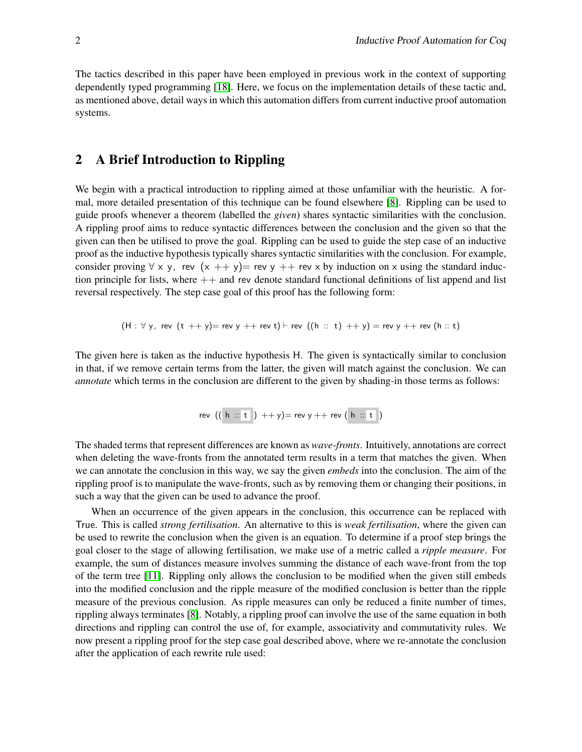The tactics described in this paper have been employed in previous work in the context of supporting dependently typed programming [\[18\]](#page-11-7). Here, we focus on the implementation details of these tactic and, as mentioned above, detail ways in which this automation differs from current inductive proof automation systems.

# <span id="page-1-0"></span>2 A Brief Introduction to Rippling

We begin with a practical introduction to rippling aimed at those unfamiliar with the heuristic. A formal, more detailed presentation of this technique can be found elsewhere [\[8\]](#page-11-5). Rippling can be used to guide proofs whenever a theorem (labelled the *given*) shares syntactic similarities with the conclusion. A rippling proof aims to reduce syntactic differences between the conclusion and the given so that the given can then be utilised to prove the goal. Rippling can be used to guide the step case of an inductive proof as the inductive hypothesis typically shares syntactic similarities with the conclusion. For example, consider proving  $\forall x, y$ , rev  $(x + y)$ = rev  $y + y$  rev  $x$  by induction on x using the standard induction principle for lists, where  $++$  and rev denote standard functional definitions of list append and list reversal respectively. The step case goal of this proof has the following form:

$$
(H: \forall y, rev (t ++ y) = rev y ++ rev t) \vdash rev ((h :: t) ++ y) = rev y ++ rev (h :: t)
$$

The given here is taken as the inductive hypothesis H. The given is syntactically similar to conclusion in that, if we remove certain terms from the latter, the given will match against the conclusion. We can *annotate* which terms in the conclusion are different to the given by shading-in those terms as follows:

$$
\mathsf{rev} \ ((\ \mathsf{h} \ :: \ \mathsf{t} \ ) \ +\ +\ \mathsf{y}) = \mathsf{rev} \ \mathsf{y} \ +\ +\ \mathsf{rev} \ (\ \mathsf{h} \ :: \ \mathsf{t} \ )
$$

The shaded terms that represent differences are known as *wave-fronts*. Intuitively, annotations are correct when deleting the wave-fronts from the annotated term results in a term that matches the given. When we can annotate the conclusion in this way, we say the given *embeds* into the conclusion. The aim of the rippling proof is to manipulate the wave-fronts, such as by removing them or changing their positions, in such a way that the given can be used to advance the proof.

When an occurrence of the given appears in the conclusion, this occurrence can be replaced with True. This is called *strong fertilisation*. An alternative to this is *weak fertilisation*, where the given can be used to rewrite the conclusion when the given is an equation. To determine if a proof step brings the goal closer to the stage of allowing fertilisation, we make use of a metric called a *ripple measure*. For example, the sum of distances measure involves summing the distance of each wave-front from the top of the term tree [\[11\]](#page-11-6). Rippling only allows the conclusion to be modified when the given still embeds into the modified conclusion and the ripple measure of the modified conclusion is better than the ripple measure of the previous conclusion. As ripple measures can only be reduced a finite number of times, rippling always terminates [\[8\]](#page-11-5). Notably, a rippling proof can involve the use of the same equation in both directions and rippling can control the use of, for example, associativity and commutativity rules. We now present a rippling proof for the step case goal described above, where we re-annotate the conclusion after the application of each rewrite rule used: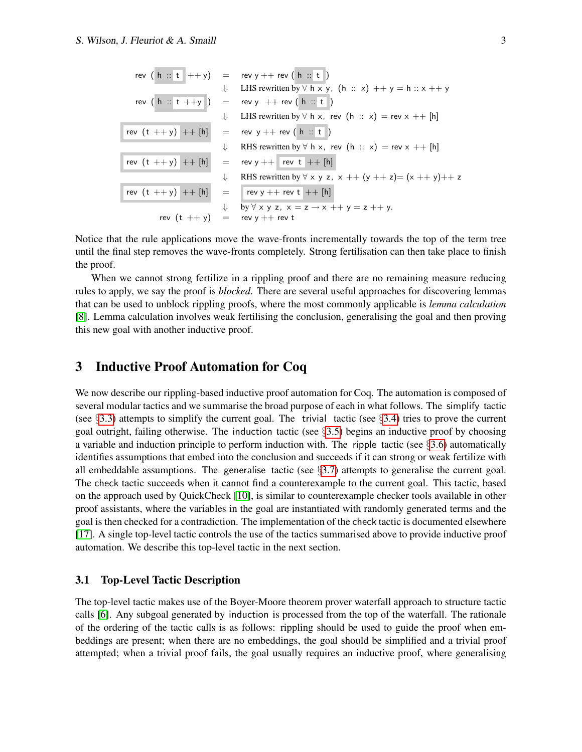$$
\begin{array}{rcl}\n\text{rev} & \left(\begin{array}{c} \mathbf{h} \ \vdots \ \mathbf{t} \end{array}\right) & = & \text{rev } y + + \text{rev} \left(\begin{array}{c} \mathbf{h} \ \vdots \ \mathbf{t} \end{array}\right) \\
\downarrow & \text{LHS rewritten by } \forall \ \mathbf{h} \ \times \mathbf{y}, \ \left(\mathbf{h} \ \vdots \ \mathbf{x} \right) + y = \mathbf{h} \ \vdots \ \mathbf{x} + y \\
\text{rev} & \left(\begin{array}{c} \mathbf{h} \ \vdots \ \mathbf{t} \end{array}\right) & = & \text{rev } y + + \text{rev} \left(\begin{array}{c} \mathbf{h} \ \vdots \ \mathbf{t} \end{array}\right) \\
\downarrow & \text{LHS rewritten by } \forall \ \mathbf{h} \ \times, \ \text{rev} \left(\begin{array}{c} \mathbf{h} \ \vdots \ \mathbf{x} \end{array}\right) & = & \text{rev } x + + \text{[h]} \\
\text{rev} & \left(\begin{array}{c} \mathbf{t} + +y \end{array}\right) + + \text{[h]} & = & \text{rev } y + + \text{rev} \left(\begin{array}{c} \mathbf{h} \ \vdots \ \mathbf{t} \end{array}\right) \\
\downarrow & \text{RHS rewritten by } \forall \ \mathbf{h} \ \times, \ \text{rev} \left(\begin{array}{c} \mathbf{h} \ \vdots \ \mathbf{x} \end{array}\right) & = & \text{rev } x + + \text{[h]} \\
\text{rev} & \left(\begin{array}{c} \mathbf{t} + +y \end{array}\right) + + \text{[h]} & = & \text{rev } y + + \text{rev } \mathbf{t} + + \text{[h]} \\
\downarrow & \text{RHS rewritten by } \forall \ \times \ \mathbf{y} \ \mathbf{z}, \ \mathbf{x} + + \left(\mathbf{y} + \mathbf{z}\right) = \left(\mathbf{x} + \mathbf{y}\right) + + \mathbf{z} \\
\text{rev} & \left(\begin{array}{c} \mathbf{t} + +y \end{array}\right) + + \text{[h]} & = & \text{rev } y + +
$$

Notice that the rule applications move the wave-fronts incrementally towards the top of the term tree until the final step removes the wave-fronts completely. Strong fertilisation can then take place to finish the proof.

When we cannot strong fertilize in a rippling proof and there are no remaining measure reducing rules to apply, we say the proof is *blocked*. There are several useful approaches for discovering lemmas that can be used to unblock rippling proofs, where the most commonly applicable is *lemma calculation* [\[8\]](#page-11-5). Lemma calculation involves weak fertilising the conclusion, generalising the goal and then proving this new goal with another inductive proof.

## <span id="page-2-0"></span>3 Inductive Proof Automation for Coq

We now describe our rippling-based inductive proof automation for Coq. The automation is composed of several modular tactics and we summarise the broad purpose of each in what follows. The simplify tactic (see  $\S 3.3$ ) attempts to simplify the current goal. The trivial tactic (see  $\S 3.4$ ) tries to prove the current goal outright, failing otherwise. The induction tactic (see §[3.5\)](#page-5-0) begins an inductive proof by choosing a variable and induction principle to perform induction with. The ripple tactic (see  $\S 3.6$ ) automatically identifies assumptions that embed into the conclusion and succeeds if it can strong or weak fertilize with all embeddable assumptions. The generalise tactic (see  $\S$ [3.7\)](#page-6-0) attempts to generalise the current goal. The check tactic succeeds when it cannot find a counterexample to the current goal. This tactic, based on the approach used by QuickCheck [\[10\]](#page-11-8), is similar to counterexample checker tools available in other proof assistants, where the variables in the goal are instantiated with randomly generated terms and the goal is then checked for a contradiction. The implementation of the check tactic is documented elsewhere [\[17\]](#page-11-9). A single top-level tactic controls the use of the tactics summarised above to provide inductive proof automation. We describe this top-level tactic in the next section.

#### 3.1 Top-Level Tactic Description

The top-level tactic makes use of the Boyer-Moore theorem prover waterfall approach to structure tactic calls [\[6\]](#page-11-4). Any subgoal generated by induction is processed from the top of the waterfall. The rationale of the ordering of the tactic calls is as follows: rippling should be used to guide the proof when embeddings are present; when there are no embeddings, the goal should be simplified and a trivial proof attempted; when a trivial proof fails, the goal usually requires an inductive proof, where generalising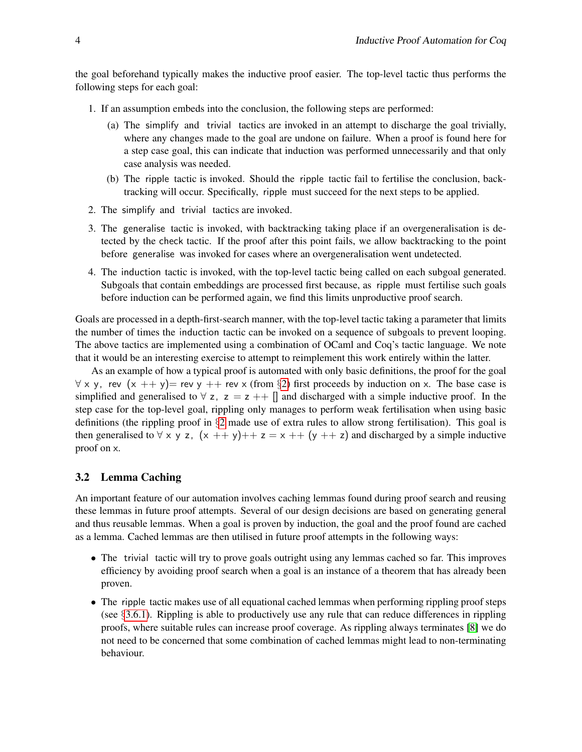the goal beforehand typically makes the inductive proof easier. The top-level tactic thus performs the following steps for each goal:

- 1. If an assumption embeds into the conclusion, the following steps are performed:
	- (a) The simplify and trivial tactics are invoked in an attempt to discharge the goal trivially, where any changes made to the goal are undone on failure. When a proof is found here for a step case goal, this can indicate that induction was performed unnecessarily and that only case analysis was needed.
	- (b) The ripple tactic is invoked. Should the ripple tactic fail to fertilise the conclusion, backtracking will occur. Specifically, ripple must succeed for the next steps to be applied.
- 2. The simplify and trivial tactics are invoked.
- 3. The generalise tactic is invoked, with backtracking taking place if an overgeneralisation is detected by the check tactic. If the proof after this point fails, we allow backtracking to the point before generalise was invoked for cases where an overgeneralisation went undetected.
- 4. The induction tactic is invoked, with the top-level tactic being called on each subgoal generated. Subgoals that contain embeddings are processed first because, as ripple must fertilise such goals before induction can be performed again, we find this limits unproductive proof search.

Goals are processed in a depth-first-search manner, with the top-level tactic taking a parameter that limits the number of times the induction tactic can be invoked on a sequence of subgoals to prevent looping. The above tactics are implemented using a combination of OCaml and Coq's tactic language. We note that it would be an interesting exercise to attempt to reimplement this work entirely within the latter.

As an example of how a typical proof is automated with only basic definitions, the proof for the goal  $\forall$  x y, rev  $(x + y)$  = rev y + + rev x (from §[2\)](#page-1-0) first proceeds by induction on x. The base case is simplified and generalised to  $\forall$  z, z = z ++ [] and discharged with a simple inductive proof. In the step case for the top-level goal, rippling only manages to perform weak fertilisation when using basic definitions (the rippling proof in §[2](#page-1-0) made use of extra rules to allow strong fertilisation). This goal is then generalised to  $\forall x, y, z, (x + y)$ ++ $z = x + (y + z)$  and discharged by a simple inductive proof on x.

#### <span id="page-3-0"></span>3.2 Lemma Caching

An important feature of our automation involves caching lemmas found during proof search and reusing these lemmas in future proof attempts. Several of our design decisions are based on generating general and thus reusable lemmas. When a goal is proven by induction, the goal and the proof found are cached as a lemma. Cached lemmas are then utilised in future proof attempts in the following ways:

- The trivial tactic will try to prove goals outright using any lemmas cached so far. This improves efficiency by avoiding proof search when a goal is an instance of a theorem that has already been proven.
- The ripple tactic makes use of all equational cached lemmas when performing rippling proof steps (see §[3.6.1\)](#page-6-1). Rippling is able to productively use any rule that can reduce differences in rippling proofs, where suitable rules can increase proof coverage. As rippling always terminates [\[8\]](#page-11-5) we do not need to be concerned that some combination of cached lemmas might lead to non-terminating behaviour.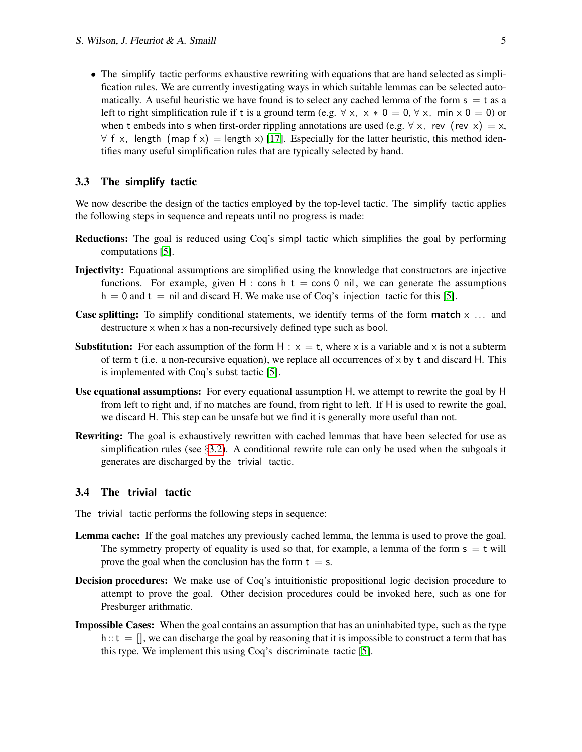• The simplify tactic performs exhaustive rewriting with equations that are hand selected as simplification rules. We are currently investigating ways in which suitable lemmas can be selected automatically. A useful heuristic we have found is to select any cached lemma of the form  $s = t$  as a left to right simplification rule if t is a ground term (e.g.  $\forall x, x * 0 = 0, \forall x, \text{ min } x \cdot 0 = 0$ ) or when t embeds into s when first-order rippling annotations are used (e.g.  $\forall x$ , rev (rev x) = x,  $\forall$  f x, length (map f x) = length x) [\[17\]](#page-11-9). Especially for the latter heuristic, this method identifies many useful simplification rules that are typically selected by hand.

#### <span id="page-4-0"></span>3.3 The simplify tactic

We now describe the design of the tactics employed by the top-level tactic. The simplify tactic applies the following steps in sequence and repeats until no progress is made:

- Reductions: The goal is reduced using Coq's simpl tactic which simplifies the goal by performing computations [\[5\]](#page-11-1).
- Injectivity: Equational assumptions are simplified using the knowledge that constructors are injective functions. For example, given H : cons h  $t =$  cons 0 nil, we can generate the assumptions  $h = 0$  and  $t = \text{nil}$  and discard H. We make use of Coq's injection tactic for this [\[5\]](#page-11-1).
- **Case splitting:** To simplify conditional statements, we identify terms of the form **match**  $\times$  ... and destructure x when x has a non-recursively defined type such as bool.
- **Substitution:** For each assumption of the form H :  $x = t$ , where x is a variable and x is not a subterm of term  $t$  (i.e. a non-recursive equation), we replace all occurrences of  $x$  by  $t$  and discard  $H$ . This is implemented with Coq's subst tactic [\[5\]](#page-11-1).
- Use equational assumptions: For every equational assumption H, we attempt to rewrite the goal by H from left to right and, if no matches are found, from right to left. If H is used to rewrite the goal, we discard H. This step can be unsafe but we find it is generally more useful than not.
- Rewriting: The goal is exhaustively rewritten with cached lemmas that have been selected for use as simplification rules (see  $\S$ [3.2\)](#page-3-0). A conditional rewrite rule can only be used when the subgoals it generates are discharged by the trivial tactic.

#### <span id="page-4-1"></span>3.4 The trivial tactic

The trivial tactic performs the following steps in sequence:

- Lemma cache: If the goal matches any previously cached lemma, the lemma is used to prove the goal. The symmetry property of equality is used so that, for example, a lemma of the form  $s = t$  will prove the goal when the conclusion has the form  $t = s$ .
- Decision procedures: We make use of Coq's intuitionistic propositional logic decision procedure to attempt to prove the goal. Other decision procedures could be invoked here, such as one for Presburger arithmatic.
- Impossible Cases: When the goal contains an assumption that has an uninhabited type, such as the type  $h:: t = []$ , we can discharge the goal by reasoning that it is impossible to construct a term that has this type. We implement this using Coq's discriminate tactic [\[5\]](#page-11-1).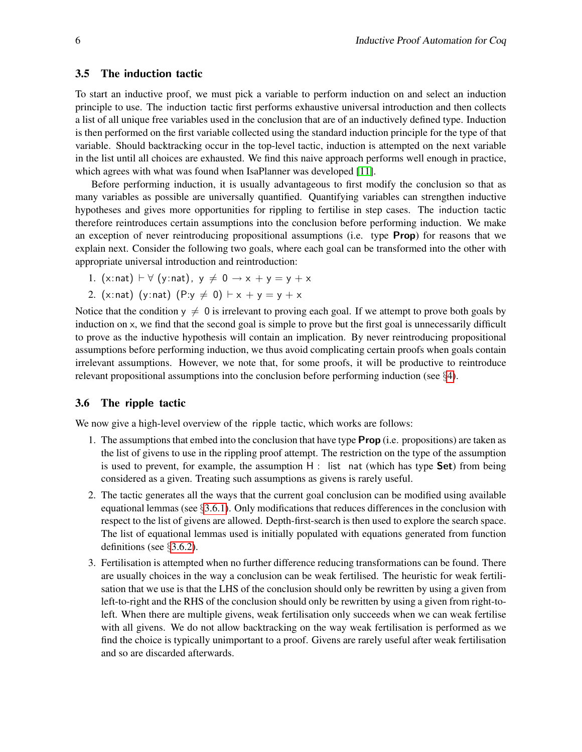#### <span id="page-5-0"></span>3.5 The induction tactic

To start an inductive proof, we must pick a variable to perform induction on and select an induction principle to use. The induction tactic first performs exhaustive universal introduction and then collects a list of all unique free variables used in the conclusion that are of an inductively defined type. Induction is then performed on the first variable collected using the standard induction principle for the type of that variable. Should backtracking occur in the top-level tactic, induction is attempted on the next variable in the list until all choices are exhausted. We find this naive approach performs well enough in practice, which agrees with what was found when IsaPlanner was developed [\[11\]](#page-11-6).

Before performing induction, it is usually advantageous to first modify the conclusion so that as many variables as possible are universally quantified. Quantifying variables can strengthen inductive hypotheses and gives more opportunities for rippling to fertilise in step cases. The induction tactic therefore reintroduces certain assumptions into the conclusion before performing induction. We make an exception of never reintroducing propositional assumptions (i.e. type **Prop**) for reasons that we explain next. Consider the following two goals, where each goal can be transformed into the other with appropriate universal introduction and reintroduction:

- 1. (x:nat)  $\vdash \forall$  (y:nat),  $y \neq 0 \rightarrow x + y = y + x$
- 2. (x:nat) (y:nat) (P:y  $\neq$  0)  $\vdash$  x + y = y + x

Notice that the condition  $y \neq 0$  is irrelevant to proving each goal. If we attempt to prove both goals by induction on x, we find that the second goal is simple to prove but the first goal is unnecessarily difficult to prove as the inductive hypothesis will contain an implication. By never reintroducing propositional assumptions before performing induction, we thus avoid complicating certain proofs when goals contain irrelevant assumptions. However, we note that, for some proofs, it will be productive to reintroduce relevant propositional assumptions into the conclusion before performing induction (see §[4\)](#page-8-0).

#### <span id="page-5-1"></span>3.6 The ripple tactic

We now give a high-level overview of the ripple tactic, which works are follows:

- 1. The assumptions that embed into the conclusion that have type Prop (i.e. propositions) are taken as the list of givens to use in the rippling proof attempt. The restriction on the type of the assumption is used to prevent, for example, the assumption  $H$  : list nat (which has type **Set**) from being considered as a given. Treating such assumptions as givens is rarely useful.
- 2. The tactic generates all the ways that the current goal conclusion can be modified using available equational lemmas (see  $\S 3.6.1$ ). Only modifications that reduces differences in the conclusion with respect to the list of givens are allowed. Depth-first-search is then used to explore the search space. The list of equational lemmas used is initially populated with equations generated from function definitions (see §[3.6.2\)](#page-6-2).
- 3. Fertilisation is attempted when no further difference reducing transformations can be found. There are usually choices in the way a conclusion can be weak fertilised. The heuristic for weak fertilisation that we use is that the LHS of the conclusion should only be rewritten by using a given from left-to-right and the RHS of the conclusion should only be rewritten by using a given from right-toleft. When there are multiple givens, weak fertilisation only succeeds when we can weak fertilise with all givens. We do not allow backtracking on the way weak fertilisation is performed as we find the choice is typically unimportant to a proof. Givens are rarely useful after weak fertilisation and so are discarded afterwards.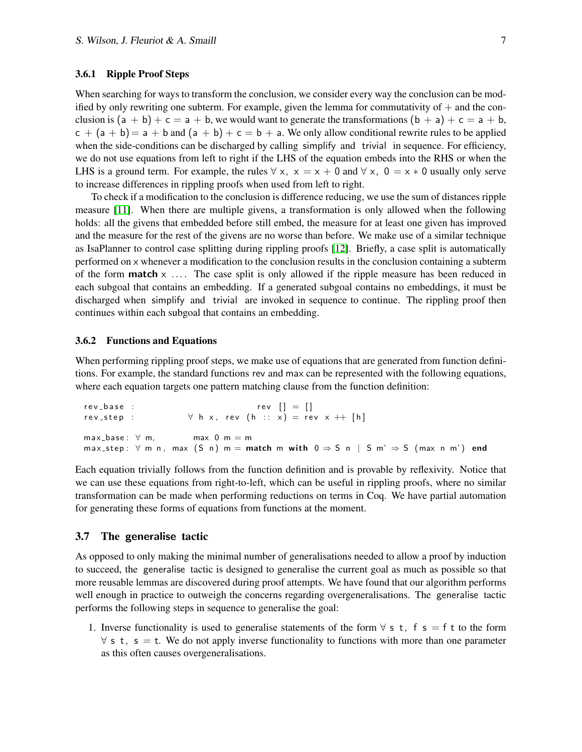#### <span id="page-6-1"></span>3.6.1 Ripple Proof Steps

When searching for ways to transform the conclusion, we consider every way the conclusion can be modified by only rewriting one subterm. For example, given the lemma for commutativity of  $+$  and the conclusion is  $(a + b) + c = a + b$ , we would want to generate the transformations  $(b + a) + c = a + b$ ,  $c + (a + b) = a + b$  and  $(a + b) + c = b + a$ . We only allow conditional rewrite rules to be applied when the side-conditions can be discharged by calling simplify and trivial in sequence. For efficiency, we do not use equations from left to right if the LHS of the equation embeds into the RHS or when the LHS is a ground term. For example, the rules  $\forall x, x = x + 0$  and  $\forall x, 0 = x * 0$  usually only serve to increase differences in rippling proofs when used from left to right.

To check if a modification to the conclusion is difference reducing, we use the sum of distances ripple measure [\[11\]](#page-11-6). When there are multiple givens, a transformation is only allowed when the following holds: all the givens that embedded before still embed, the measure for at least one given has improved and the measure for the rest of the givens are no worse than before. We make use of a similar technique as IsaPlanner to control case splitting during rippling proofs [\[12\]](#page-11-10). Briefly, a case split is automatically performed on x whenever a modification to the conclusion results in the conclusion containing a subterm of the form **match**  $x$  .... The case split is only allowed if the ripple measure has been reduced in each subgoal that contains an embedding. If a generated subgoal contains no embeddings, it must be discharged when simplify and trivial are invoked in sequence to continue. The rippling proof then continues within each subgoal that contains an embedding.

#### <span id="page-6-2"></span>3.6.2 Functions and Equations

When performing rippling proof steps, we make use of equations that are generated from function definitions. For example, the standard functions rev and max can be represented with the following equations, where each equation targets one pattern matching clause from the function definition:

```
rev\_base : rev [ ] = [rev_step : \forall h x, rev (h :: x) = rev x ++ [h]
max\_base: \forall m, \qquad max \space 0 \space m = mmax_step: \forall m n, max (S n) m = match m with 0 \Rightarrow S n | S m' \Rightarrow S (max n m') end
```
Each equation trivially follows from the function definition and is provable by reflexivity. Notice that we can use these equations from right-to-left, which can be useful in rippling proofs, where no similar transformation can be made when performing reductions on terms in Coq. We have partial automation for generating these forms of equations from functions at the moment.

#### <span id="page-6-0"></span>3.7 The generalise tactic

As opposed to only making the minimal number of generalisations needed to allow a proof by induction to succeed, the generalise tactic is designed to generalise the current goal as much as possible so that more reusable lemmas are discovered during proof attempts. We have found that our algorithm performs well enough in practice to outweigh the concerns regarding overgeneralisations. The generalise tactic performs the following steps in sequence to generalise the goal:

1. Inverse functionality is used to generalise statements of the form  $\forall s$  t, f s = f t to the form  $\forall$  s t, s = t. We do not apply inverse functionality to functions with more than one parameter as this often causes overgeneralisations.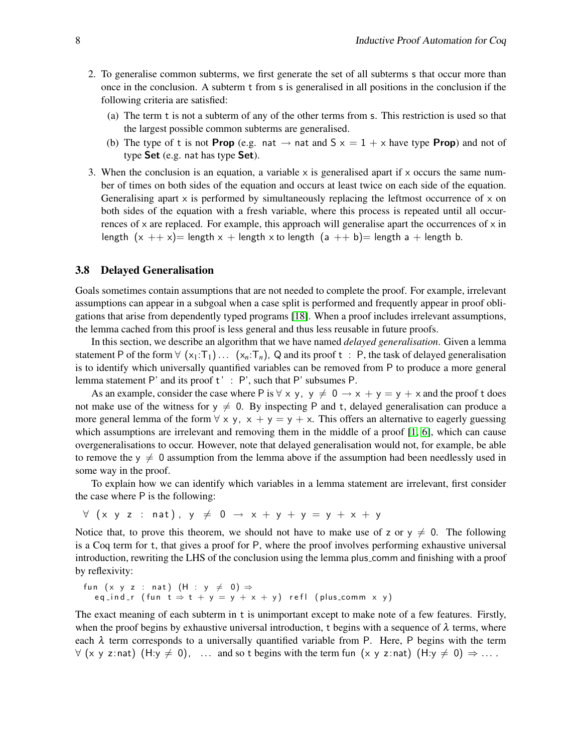- 2. To generalise common subterms, we first generate the set of all subterms s that occur more than once in the conclusion. A subterm t from s is generalised in all positions in the conclusion if the following criteria are satisfied:
	- (a) The term t is not a subterm of any of the other terms from s. This restriction is used so that the largest possible common subterms are generalised.
	- (b) The type of t is not **Prop** (e.g. nat  $\rightarrow$  nat and  $S \times = 1 + \times$  have type **Prop**) and not of type Set (e.g. nat has type Set).
- 3. When the conclusion is an equation, a variable  $x$  is generalised apart if  $x$  occurs the same number of times on both sides of the equation and occurs at least twice on each side of the equation. Generalising apart  $x$  is performed by simultaneously replacing the leftmost occurrence of  $x$  on both sides of the equation with a fresh variable, where this process is repeated until all occurrences of  $x$  are replaced. For example, this approach will generalise apart the occurrences of  $x$  in length  $(x ++ x)$  length  $x +$  length x to length  $(a ++ b)$  length a + length b.

#### <span id="page-7-0"></span>3.8 Delayed Generalisation

Goals sometimes contain assumptions that are not needed to complete the proof. For example, irrelevant assumptions can appear in a subgoal when a case split is performed and frequently appear in proof obligations that arise from dependently typed programs [\[18\]](#page-11-7). When a proof includes irrelevant assumptions, the lemma cached from this proof is less general and thus less reusable in future proofs.

In this section, we describe an algorithm that we have named *delayed generalisation*. Given a lemma statement P of the form  $\forall$  (x<sub>1</sub>:T<sub>1</sub>)... (x<sub>n</sub>:T<sub>n</sub>), Q and its proof t : P, the task of delayed generalisation is to identify which universally quantified variables can be removed from P to produce a more general lemma statement P' and its proof t' : P', such that P' subsumes P.

As an example, consider the case where P is  $\forall x, y, y \neq 0 \rightarrow x + y = y + x$  and the proof t does not make use of the witness for  $y \neq 0$ . By inspecting P and t, delayed generalisation can produce a more general lemma of the form  $\forall x, y, x + y = y + x$ . This offers an alternative to eagerly guessing which assumptions are irrelevant and removing them in the middle of a proof [\[1,](#page-11-2) [6\]](#page-11-4), which can cause overgeneralisations to occur. However, note that delayed generalisation would not, for example, be able to remove the  $y \neq 0$  assumption from the lemma above if the assumption had been needlessly used in some way in the proof.

To explain how we can identify which variables in a lemma statement are irrelevant, first consider the case where P is the following:

 $\forall$  (x y z : nat),  $y \neq 0 \rightarrow x + y + y = y + x + y$ 

Notice that, to prove this theorem, we should not have to make use of z or  $y \neq 0$ . The following is a Coq term for t, that gives a proof for P, where the proof involves performing exhaustive universal introduction, rewriting the LHS of the conclusion using the lemma plus comm and finishing with a proof by reflexivity:

```
fun (x y z : nat) (H : y \neq 0) \Rightarroweq_ind_r ( fun t \Rightarrow t + y = y + x + y ) refl ( plus_comm x y )
```
The exact meaning of each subterm in t is unimportant except to make note of a few features. Firstly, when the proof begins by exhaustive universal introduction, t begins with a sequence of  $\lambda$  terms, where each  $\lambda$  term corresponds to a universally quantified variable from P. Here, P begins with the term  $\forall$  (x y z:nat) (H:y  $\neq$  0), ... and so t begins with the term fun (x y z:nat) (H:y  $\neq$  0)  $\Rightarrow$  ...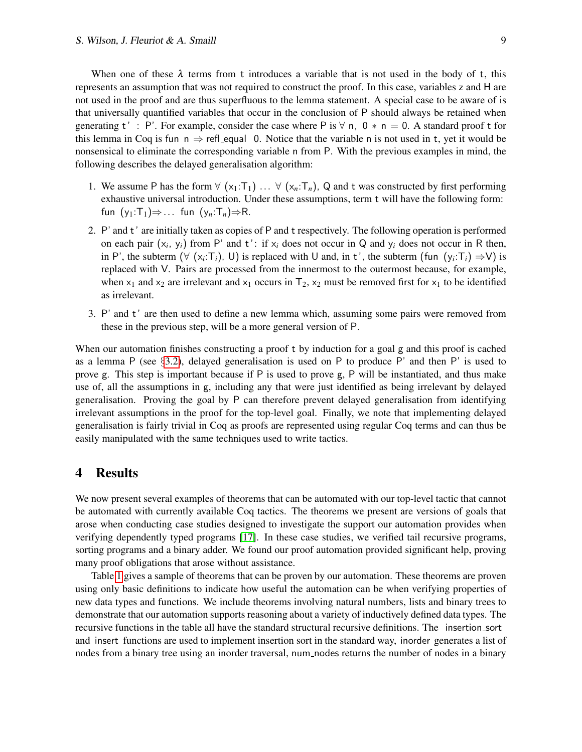When one of these  $\lambda$  terms from t introduces a variable that is not used in the body of t, this represents an assumption that was not required to construct the proof. In this case, variables z and H are not used in the proof and are thus superfluous to the lemma statement. A special case to be aware of is that universally quantified variables that occur in the conclusion of P should always be retained when generating t': P'. For example, consider the case where P is  $\forall$  n, 0  $*$  n = 0. A standard proof t for this lemma in Coq is fun  $n \Rightarrow$  refl\_equal 0. Notice that the variable n is not used in t, yet it would be nonsensical to eliminate the corresponding variable n from P. With the previous examples in mind, the following describes the delayed generalisation algorithm:

- 1. We assume P has the form  $\forall$  (x<sub>1</sub>:T<sub>1</sub>) ...  $\forall$  (x<sub>n</sub>:T<sub>n</sub>), Q and t was constructed by first performing exhaustive universal introduction. Under these assumptions, term t will have the following form: fun  $(y_1:T_1) \Rightarrow \dots$  fun  $(y_n:T_n) \Rightarrow R$ .
- 2. P' and t' are initially taken as copies of P and t respectively. The following operation is performed on each pair  $(x_i, y_i)$  from P' and t': if  $x_i$  does not occur in Q and  $y_i$  does not occur in R then, in P', the subterm  $(\forall (x_i \cdot T_i), U)$  is replaced with U and, in t', the subterm (fun  $(y_i \cdot T_i) \Rightarrow V$ ) is replaced with V. Pairs are processed from the innermost to the outermost because, for example, when  $x_1$  and  $x_2$  are irrelevant and  $x_1$  occurs in  $T_2$ ,  $x_2$  must be removed first for  $x_1$  to be identified as irrelevant.
- 3. P' and t' are then used to define a new lemma which, assuming some pairs were removed from these in the previous step, will be a more general version of P.

When our automation finishes constructing a proof t by induction for a goal g and this proof is cached as a lemma P (see  $\S$ [3.2\)](#page-3-0), delayed generalisation is used on P to produce P' and then P' is used to prove g. This step is important because if P is used to prove g, P will be instantiated, and thus make use of, all the assumptions in g, including any that were just identified as being irrelevant by delayed generalisation. Proving the goal by P can therefore prevent delayed generalisation from identifying irrelevant assumptions in the proof for the top-level goal. Finally, we note that implementing delayed generalisation is fairly trivial in Coq as proofs are represented using regular Coq terms and can thus be easily manipulated with the same techniques used to write tactics.

### <span id="page-8-0"></span>4 Results

We now present several examples of theorems that can be automated with our top-level tactic that cannot be automated with currently available Coq tactics. The theorems we present are versions of goals that arose when conducting case studies designed to investigate the support our automation provides when verifying dependently typed programs [\[17\]](#page-11-9). In these case studies, we verified tail recursive programs, sorting programs and a binary adder. We found our proof automation provided significant help, proving many proof obligations that arose without assistance.

Table [1](#page-9-0) gives a sample of theorems that can be proven by our automation. These theorems are proven using only basic definitions to indicate how useful the automation can be when verifying properties of new data types and functions. We include theorems involving natural numbers, lists and binary trees to demonstrate that our automation supports reasoning about a variety of inductively defined data types. The recursive functions in the table all have the standard structural recursive definitions. The insertion sort and insert functions are used to implement insertion sort in the standard way, inorder generates a list of nodes from a binary tree using an inorder traversal, num nodes returns the number of nodes in a binary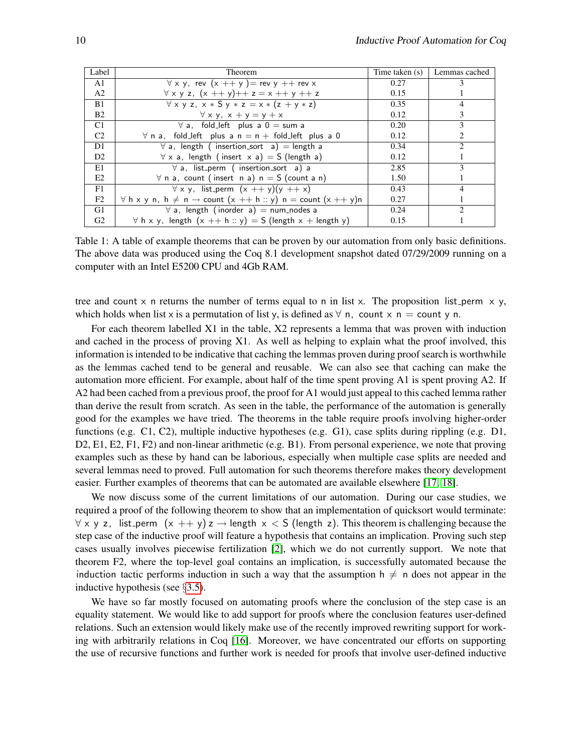| Label          | <b>Theorem</b>                                                                         | Time taken (s) | Lemmas cached               |
|----------------|----------------------------------------------------------------------------------------|----------------|-----------------------------|
| A1             | $\forall$ x y, rev $(x + y)$ = rev y ++ rev x                                          | 0.27           | 3                           |
| A <sub>2</sub> | $\forall x y z, (x + y) + z = x + y + z$                                               | 0.15           |                             |
| B1             | $\forall$ x y z, x * S y * z = x * (z + y * z)                                         | 0.35           | 4                           |
| B <sub>2</sub> | $\forall x y, x + y = y + x$                                                           | 0.12           | 3                           |
| C1             | $\forall$ a, fold_left plus a 0 = sum a                                                | 0.20           | 3                           |
| C <sub>2</sub> | $\forall$ n a, fold_left plus a n = n + fold_left plus a 0                             | 0.12           | 2                           |
| D1             | $\forall$ a, length (insertion_sort a) = length a                                      | 0.34           | $\mathcal{D}_{\mathcal{A}}$ |
| D <sub>2</sub> | $\forall$ x a, length (insert x a) = S (length a)                                      | 0.12           |                             |
| E1             | $\forall$ a, list_perm (insertion_sort a) a                                            | 2.85           | 3                           |
| E2             | $\forall$ n a, count (insert n a) n = S (count a n)                                    | 1.50           |                             |
| F1             | $\forall x y$ , list_perm $(x + y)(y + x)$                                             | 0.43           | $\overline{4}$              |
| F2             | $\forall$ h x y n, h $\neq$ n $\rightarrow$ count $(x + h :: y)$ n = count $(x + y)$ n | 0.27           |                             |
| G1             | $\forall$ a, length (inorder a) = num_nodes a                                          | 0.24           | $\mathcal{D}$               |
| G2             | $\forall$ h x y, length $(x + + h :: y) = S$ (length $x +$ length y)                   | 0.15           |                             |

<span id="page-9-0"></span>Table 1: A table of example theorems that can be proven by our automation from only basic definitions. The above data was produced using the Coq 8.1 development snapshot dated 07/29/2009 running on a computer with an Intel E5200 CPU and 4Gb RAM.

tree and count x n returns the number of terms equal to n in list x. The proposition list perm  $x, y$ , which holds when list x is a permutation of list y, is defined as  $\forall$  n, count x n = count y n.

For each theorem labelled X1 in the table, X2 represents a lemma that was proven with induction and cached in the process of proving X1. As well as helping to explain what the proof involved, this information is intended to be indicative that caching the lemmas proven during proof search is worthwhile as the lemmas cached tend to be general and reusable. We can also see that caching can make the automation more efficient. For example, about half of the time spent proving A1 is spent proving A2. If A2 had been cached from a previous proof, the proof for A1 would just appeal to this cached lemma rather than derive the result from scratch. As seen in the table, the performance of the automation is generally good for the examples we have tried. The theorems in the table require proofs involving higher-order functions (e.g. C1, C2), multiple inductive hypotheses (e.g. G1), case splits during rippling (e.g. D1, D2, E1, E2, F1, F2) and non-linear arithmetic (e.g. B1). From personal experience, we note that proving examples such as these by hand can be laborious, especially when multiple case splits are needed and several lemmas need to proved. Full automation for such theorems therefore makes theory development easier. Further examples of theorems that can be automated are available elsewhere [\[17,](#page-11-9) [18\]](#page-11-7).

We now discuss some of the current limitations of our automation. During our case studies, we required a proof of the following theorem to show that an implementation of quicksort would terminate:  $\forall x, y, z$ , list perm  $(x + y)z \rightarrow$  length  $x < S$  (length z). This theorem is challenging because the step case of the inductive proof will feature a hypothesis that contains an implication. Proving such step cases usually involves piecewise fertilization [\[2\]](#page-11-11), which we do not currently support. We note that theorem F2, where the top-level goal contains an implication, is successfully automated because the induction tactic performs induction in such a way that the assumption  $h \neq n$  does not appear in the inductive hypothesis (see §[3.5\)](#page-5-0).

We have so far mostly focused on automating proofs where the conclusion of the step case is an equality statement. We would like to add support for proofs where the conclusion features user-defined relations. Such an extension would likely make use of the recently improved rewriting support for working with arbitrarily relations in Coq [\[16\]](#page-11-12). Moreover, we have concentrated our efforts on supporting the use of recursive functions and further work is needed for proofs that involve user-defined inductive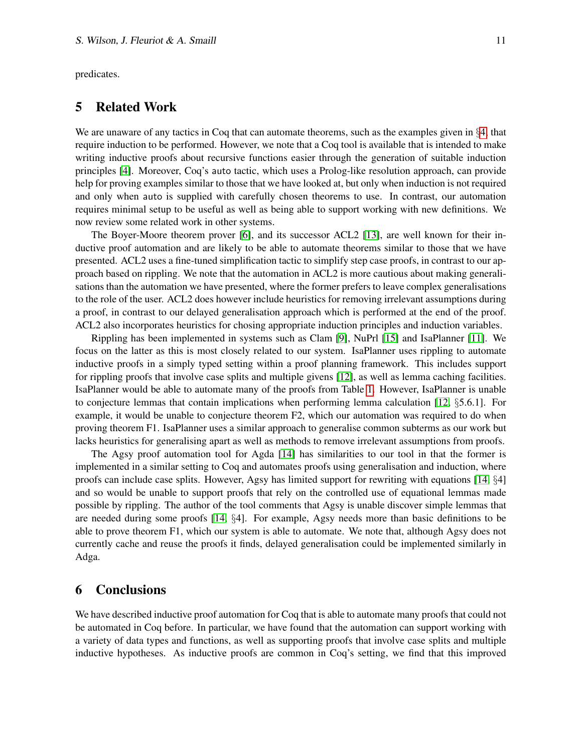predicates.

### 5 Related Work

We are unaware of any tactics in Coq that can automate theorems, such as the examples given in §[4,](#page-8-0) that require induction to be performed. However, we note that a Coq tool is available that is intended to make writing inductive proofs about recursive functions easier through the generation of suitable induction principles [\[4\]](#page-11-13). Moreover, Coq's auto tactic, which uses a Prolog-like resolution approach, can provide help for proving examples similar to those that we have looked at, but only when induction is not required and only when auto is supplied with carefully chosen theorems to use. In contrast, our automation requires minimal setup to be useful as well as being able to support working with new definitions. We now review some related work in other systems.

The Boyer-Moore theorem prover [\[6\]](#page-11-4), and its successor ACL2 [\[13\]](#page-11-14), are well known for their inductive proof automation and are likely to be able to automate theorems similar to those that we have presented. ACL2 uses a fine-tuned simplification tactic to simplify step case proofs, in contrast to our approach based on rippling. We note that the automation in ACL2 is more cautious about making generalisations than the automation we have presented, where the former prefers to leave complex generalisations to the role of the user. ACL2 does however include heuristics for removing irrelevant assumptions during a proof, in contrast to our delayed generalisation approach which is performed at the end of the proof. ACL2 also incorporates heuristics for chosing appropriate induction principles and induction variables.

Rippling has been implemented in systems such as Clam [\[9\]](#page-11-15), NuPrl [\[15\]](#page-11-16) and IsaPlanner [\[11\]](#page-11-6). We focus on the latter as this is most closely related to our system. IsaPlanner uses rippling to automate inductive proofs in a simply typed setting within a proof planning framework. This includes support for rippling proofs that involve case splits and multiple givens [\[12\]](#page-11-10), as well as lemma caching facilities. IsaPlanner would be able to automate many of the proofs from Table [1.](#page-9-0) However, IsaPlanner is unable to conjecture lemmas that contain implications when performing lemma calculation [\[12,](#page-11-10)  $\S$ 5.6.1]. For example, it would be unable to conjecture theorem F2, which our automation was required to do when proving theorem F1. IsaPlanner uses a similar approach to generalise common subterms as our work but lacks heuristics for generalising apart as well as methods to remove irrelevant assumptions from proofs.

The Agsy proof automation tool for Agda [\[14\]](#page-11-17) has similarities to our tool in that the former is implemented in a similar setting to Coq and automates proofs using generalisation and induction, where proofs can include case splits. However, Agsy has limited support for rewriting with equations [\[14,](#page-11-17) §4] and so would be unable to support proofs that rely on the controlled use of equational lemmas made possible by rippling. The author of the tool comments that Agsy is unable discover simple lemmas that are needed during some proofs [\[14,](#page-11-17) §4]. For example, Agsy needs more than basic definitions to be able to prove theorem F1, which our system is able to automate. We note that, although Agsy does not currently cache and reuse the proofs it finds, delayed generalisation could be implemented similarly in Adga.

# 6 Conclusions

We have described inductive proof automation for Coq that is able to automate many proofs that could not be automated in Coq before. In particular, we have found that the automation can support working with a variety of data types and functions, as well as supporting proofs that involve case splits and multiple inductive hypotheses. As inductive proofs are common in Coq's setting, we find that this improved